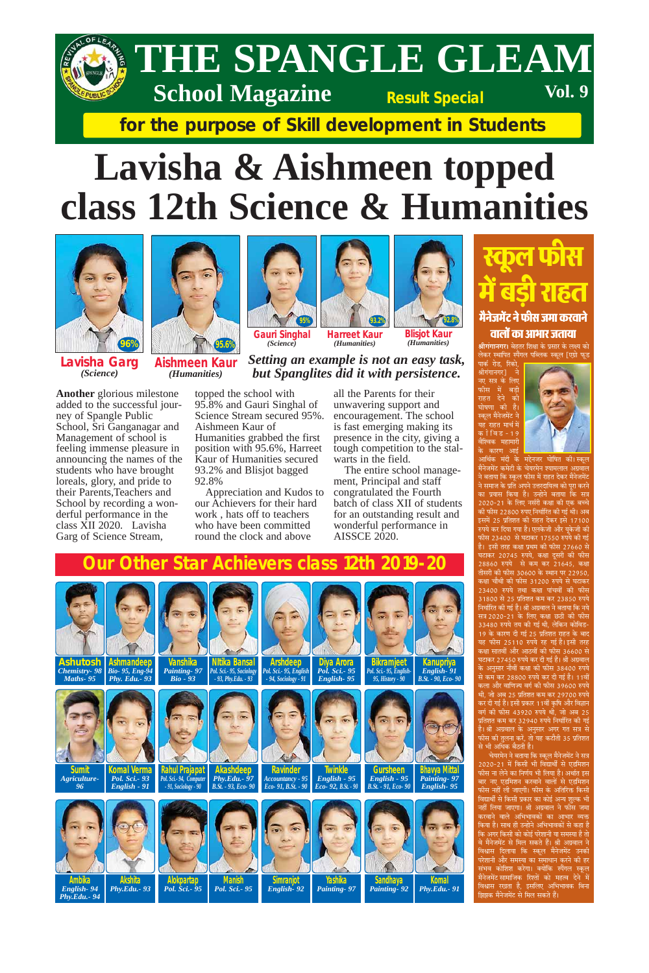

### THE SPANGLE GLEAM **Vol. 9 School Magazine Result Special**

for the purpose of Skill development in Students

## Lavisha & Aishmeen topped class 12th Science & Humanities



Lavisha Garg (Science)

**Another** glorious milestone added to the successful journey of Spangle Public School, Sri Ganganagar and Management of school is feeling immense pleasure in announcing the names of the students who have brought loreals, glory, and pride to their Parents, Teachers and School by recording a wonderful performance in the class XII 2020. Lavisha Garg of Science Stream,



Aishmeen Kaur (Humanities)





(Humanities)

**Gauri Singhal Harreet Kaur** (Science)



### Setting an example is not an easy task, but Spanglites did it with persistence.

topped the school with 95.8% and Gauri Singhal of Science Stream secured 95%. Aishmeen Kaur of Humanities grabbed the first position with 95.6%, Harreet Kaur of Humanities secured 93.2% and Blisjot bagged 92.8%

Appreciation and Kudos to our Achievers for their hard work, hats off to teachers who have been committed round the clock and above

all the Parents for their unwavering support and encouragement. The school is fast emerging making its presence in the city, giving a tough competition to the stalwarts in the field.

The entire school management, Principal and staff congratulated the Fourth batch of class XII of students for an outstanding result and wonderful performance in **AISSCE 2020.** 

### स्कृल फास में बड़ी राहत मैनेजमेंट ने फीस जमा करवाने वार्लो का आभार जताया

**श्रीगंगानगर।** बेहतर शिक्षा के प्रसार के लक्ष्य को लेकर स्थापित स्पैंगल पब्लिक स्कूल [एग्रो फूड





आर्थिक मंदी के मद्देनजर घोषित ौनेजमेंट कमेटी के चेयरमेन श्यामलाल अग्रवाल ने बताया कि स्कूल फीस में राहत देकर मैनेजमेंट ने समाज के प्रति अपने उत्तरदायित्व को पूरा करने का प्रयास किया है। उन्होने बताया कि सत्र 2020-21 के लिए नर्सरी कक्षा की एक बच्चे की फीस 22800 रुपए निर्धारित की गई थी। अब इसमें 25 प्रतिशत की राहत देकर इसे 17100 रुपये कर दिया गया है। एलकेजी और यूकेजी की फीस 23400 से घटाकर 17550 रुपये की गई घटाकर 20745 रुपये. कक्षा दसरी की फीस 28860 रुपये से कम कर 21645, कक्षा तीसरी की फीस 30600 के स्थान पर 22950, कक्षा चौथी की फीस 31200 रुपये से घटाकर 23400 रुपये तथा कक्षा पांचवीं की फीस 31800 से 25 प्रतिशत कम कर 23850 रुपये निर्धारित की गई है। श्री अग्रवाल ने बताया कि नये सत्र 2020-21 के लिए कक्षा छठी की फीस 33480 रुपये तय की गई थी, लेकिन को 19 के कारण दी गई 25 प्रतिशत राहत के बाद <u>यह फीस 25110 रुपये रह गई है। इसी तरह</u> कक्षा सातवीं और आठवीं की फीस 36600 से घटाकर 27450 रुपये कर दी गई है। श्री अग्रवाल के अनुसार नौवीं कक्षा की फीस 38400 रुपये से कम कर 28800 रुपये कर दी गई है। 11वीं कला और वाणिज्य वर्ग की फीस 39600 रुपये थी, जो अब 25 प्रतिशत कम कर 29700 रुपये कर दी गई है। इसी प्रकार 11वीं कृषि और विज्ञान वर्ग की फीस 43920 रुपये थी, जो अब 25 प्रतिशत कम कर 32940 रुपये निर्धारित की गई है। श्री अग्रवाल के अनुसार अगर गत सत्र से <u>कीस की तुलना करें, तो यह कटौती 35 प्रतिशत</u> से भी अधिक बैठती है। चेयरमेन ने बताया कि स्कूल मैनेजमेंट ने सत्र 2020-21 में किसी भी विद्यार्थी से एडमिशन फीस ना लेने का निर्णय भी लिया है। अर्थात इस बार नए एडमिशन करवाने वालों से एडमिशन फीस नहीं ली जाएगी। फीस के अतिरिक्त किसी विद्यार्थी से किसी प्रकार का कोई अन्य शुल्क भी नहीं लिया जाएगा। श्री अग्रवाल ने फीस जमा करवाने वाले अभिभावकों का आभार व्यक्त किया है। साथ ही उन्होने अभिभावकों से कहा है कि अगर किसी को कोई परेशानी या समस्या है तो वे मैनेजमेंट से मिल सकते हैं। श्री अग्रवाल ने विश्वास दिलाया कि स्कूल मैनेजमेंट उनकी परेशानी और समस्या का समाधान करने की हर<br>संभव कोशिश करेगा। क्योंकि स्पैंगल स्कूल मैनेजमेंट सामाजिक रिश्तों को महत्व देने<sup>ं</sup>में विश्वास रखता है, इसलिए अभिभावक बिना झिझक मैनेजमेंट से मिल सकते हैं।





<u>Ashutosh</u> Ashmandeep Chemistry- 98 | Bio- 95, Eng-94

**Nitika Bansal Vanshika Painting-97** Pol. Sci.- 95, Socio

**Arshdeep** Pol. Sci. - 95, English

Diya Arora<br>Pol. Sci.- 95

**Bikramjeet Kanupriva** Pol. Sci.- 95, English English-

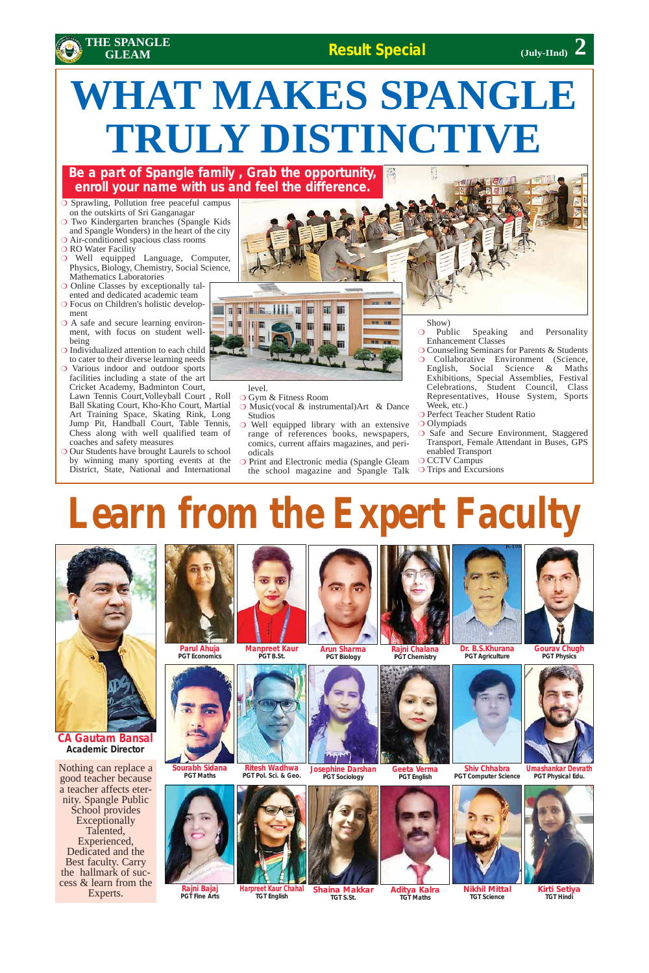### **Result Special**



- ❍ Sprawling, Pollution free peaceful campus on the outskirts of Sri Ganganagar
- ❍ Two Kindergarten branches (Spangle Kids and Spangle Wonders) in the heart of the city
- ❍ Air-conditioned spacious class rooms
- ❍ RO Water Facility
- ❍ Well equipped Language, Computer, Physics, Biology, Chemistry, Social Science, Mathematics Laboratories
- ❍ Online Classes by exceptionally talented and dedicated academic team
- ❍ Focus on Children's holistic development
- O A safe and secure learning environment, with focus on student wellbeing
- ❍ Individualized attention to each child to cater to their diverse learning needs
- ❍ Various indoor and outdoor sports facilities including a state of the art Cricket Academy, Badminton Court,

O Our Students have brought Laurels to school by winning many sporting events at the District, State, National and International



Lawn Tennis Court,Volleyball Court , Roll Ball Skating Court, Kho-Kho Court, Martial Art Training Space, Skating Rink, Long Jump Pit, Handball Court, Table Tennis, Chess along with well qualified team of coaches and safety measures

level.

**Josephine Darshan PGT Sociology**

- ❍ Gym & Fitness Room
- ❍ Music(vocal & instrumental)Art & Dance Studios
- ❍ Well equipped library with an extensive range of references books, newspapers, comics, current affairs magazines, and periodicals
- ❍ Print and Electronic media (Spangle Gleam the school magazine and Spangle Talk

Show)

- ❍ Public Speaking and Personality Enhancement Classes
- ❍ Counseling Seminars for Parents & Students ❍ Collaborative Environment (Science, English, Social Science & Maths Exhibitions, Special Assemblies, Festival Celebrations, Student Council, Class Representatives, House System, Sports Week, etc.)
- ❍ Perfect Teacher Student Ratio
- ❍ Olympiads
- ❍ Safe and Secure Environment, Staggered Transport, Female Attendant in Buses, GPS enabled Transport
- O CCTV Campus
- ❍ Trips and Excursions

## **WHAT MAKES SPANGLE TRULY DISTINCTIVE**

### **Be a part of Spangle family , Grab the opportunity, enroll your name with us and feel the difference.**

# **(July-IInd)**

## **Learn from the Expert Faculty**







**CA Gautam Bansal Academic Director**

**Parul Ahuja PGT Economics**



**Manpreet Kaur PGT B.St. Arun Sharma PGT Biology**





**PGT Agriculture**



**Sourabh Sidana PGT Maths Ritesh Wadhwa**



**Geeta Verma PGT English**



**Shiv Chhabra PGT Computer Science** **Umashankar Devrath PGT Physical Edu.**

**Rajni Bajaj PGT Fine Arts**

**Harpreet Kaur Chahal TGT English**



**TGT S.St.**



**Aditya Kalra TGT Maths**





**TGT Science**

**Kirti Setiya TGT Hindi**

Nothing can replace a good teacher because a teacher affects eternity. Spangle Public School provides **Exceptionally** Talented, Experienced, Dedicated and the Best faculty. Carry the hallmark of success & learn from the Experts.

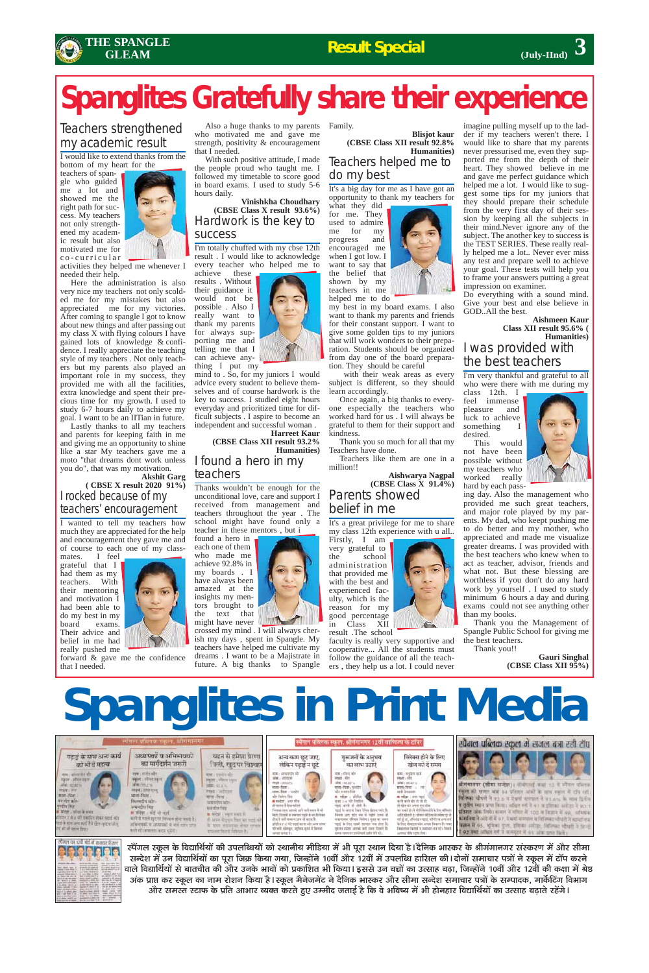

### Teachers strengthened my academic result

I would like to extend thanks from the bottom of my heart for the

teachers of spangle who guided me a lot and showed me the right path for success. My teachers not only strengthened my academic result but also motivated me for co-curricular



activities they helped me whenever I needed their help.

Here the administration is also very nice my teachers not only scolded me for my mistakes but also appreciated me for my victories. After coming to spangle I got to know about new things and after passing out my class X with flying colours I have gained lots of knowledge & confidence. I really appreciate the teaching style of my teachers . Not only teachers but my parents also played an important role in my success, they provided me with all the facilities, extra knowledge and spent their precious time for my growth. I used to study 6-7 hours daily to achieve my goal. I want to be an IITian in future.

I wanted to tell my teachers how much they are appreciated for the help and encouragement they gave me and of course to each one of my class-

Lastly thanks to all my teachers and parents for keeping faith in me and giving me an opportunity to shine like a star My teachers gave me a moto "that dreams dont work unless you do", that was my motivation.

#### **Akshit Garg ( CBSE X result 2020 91%)** I rocked because of my teachers' encouragement

mates. I feel grateful that I had them as my teachers. With their mentoring and motivation I had been able to do my best in my board exams. Their advice and belief in me had really pushed me



forward & gave me the confidence that I needed.

Also a huge thanks to my parents Family. who motivated me and gave me strength, positivity & encouragement that I needed.

With such positive attitude, I made the people proud who taught me. I followed my timetable to score good in board exams. I used to study 5-6 hours daily.

**Vinishkha Choudhary (CBSE Class X result 93.6%)** Hardwork is the key to success

I'm totally chuffed with my cbse 12th result . I would like to acknowledge every teacher who helped me to

achieve these results . Without their guidance it would not be possible . Also I really want to thank my parents for always supporting me and telling me that I can achieve anything I put my

mind to . So, for my juniors I would advice every student to believe themselves and of course hardwork is the key to success. I studied eight hours everyday and prioritized time for difficult subjects . I aspire to become an independent and successful woman .

**Harreet Kaur (CBSE Class XII result 93.2% Humanities)** I found a hero in my teachers

Thanks wouldn't be enough for the unconditional love, care and support I received from management and teachers throughout the year . The school might have found only a teacher in these mentors , but i

found a hero in each one of them who made me achieve 92.8% in my boards . I have always been amazed at the insights my mentors brought to the text that might have never

crossed my mind . I will always cherish my days , spent in Spangle. My teachers have helped me cultivate my dreams . I want to be a Majistrate in future. A big thanks to Spangle

**Blisjot kaur (CBSE Class XII result 92.8% Humanities)** Teachers helped me to do my best

It's a big day for me as I have got an opportunity to thank my teachers for

what they did for me. They used to admire me for my progress and encouraged me when I got low. I want to say that the belief that shown by my teachers in me helped me to do

my best in my board exams. I also want to thank my parents and friends for their constant support. I want to give some golden tips to my juniors that will work wonders to their preparation. Students should be organized from day one of the board preparation. They should be careful

with their weak areas as every subject is different, so they should learn accordingly.

Once again, a big thanks to everyone especially the teachers who worked hard for us . I will always be grateful to them for their support and kindness.

Thank you so much for all that my Teachers have done.

Teachers like them are one in a million!!

**Aishwarya Nagpal (CBSE Class X 91.4%)** Parents showed belief in me

It's a great privilege for me to share my class 12th experience with u all..

Firstly, I am very grateful to the school administration that provided me with the best and experienced faculty, which is the reason for my good percentage in Class XII

result .The school

faculty is really very supportive and cooperative... All the students must follow the guidance of all the teachers , they help us a lot. I could never imagine pulling myself up to the ladder if my teachers weren't there. I would like to share that my parents never pressurised me, even they supported me from the depth of their heart. They showed believe in me and gave me perfect guidance which helped me a lot. I would like to suggest some tips for my juniors that they should prepare their schedule from the very first day of their session by keeping all the subjects in their mind.Never ignore any of the subject. The another key to success is the TEST SERIES. These really really helped me a lot.. Never ever miss any test and prepare well to achieve your goal. These tests will help you to frame your answers putting a great impression on examiner.

Do everything with a sound mind. Give your best and else believe in GOD..All the best.

**Aishmeen Kaur Class XII result 95.6% ( Humanities)**

### I was provided with the best teachers

I'm very thankful and grateful to all who were there with me during my

class 12th. I feel immense pleasure and luck to achieve something I desired.

This would not have been possible without my teachers who worked really hard by each pass-

ing day. Also the management who provided me such great teachers, and major role played by my parents. My dad, who keept pushing me to do better and my mother, who appreciated and made me visualize greater dreams. I was provided with the best teachers who knew when to act as teacher, advisor, friends and what not. But these blessing are worthless if you don't do any hard work by yourself . I used to study minimum 6 hours a day and during exams could not see anything other than my books.

Thank you the Management of Spangle Public School for giving me the best teachers. Thank you!!

**Gauri Singhal (CBSE Class XII 95%)**



## **Spanglites Gratefully share their experience**

### **Result Special**

## **Spanglites in Print Media**

| स्वगत्न पाहितक सहस्त, क्षीममानमर                                                                                                                                                                                                                                                                        |                                                                                                                                                                                                                                                                                      |                                                                                                                                                                                                                                     | स्पेगल पब्लिक स्कूल, श्रीगंगानगर 12वीं वाणिज्य के टॉपर                                                                                                                                                                                                                                                                                  |                                                                                                                                                                                                                                                                                                                                            |                                                                                                                                                                                                                                                                                                                                                                      | स्पेगल पब्लिक स्कूल में सजल बन्ना रही टॉप                                                                                                                                                                                                                                                                                                                                                                                                                                                                                                       |
|---------------------------------------------------------------------------------------------------------------------------------------------------------------------------------------------------------------------------------------------------------------------------------------------------------|--------------------------------------------------------------------------------------------------------------------------------------------------------------------------------------------------------------------------------------------------------------------------------------|-------------------------------------------------------------------------------------------------------------------------------------------------------------------------------------------------------------------------------------|-----------------------------------------------------------------------------------------------------------------------------------------------------------------------------------------------------------------------------------------------------------------------------------------------------------------------------------------|--------------------------------------------------------------------------------------------------------------------------------------------------------------------------------------------------------------------------------------------------------------------------------------------------------------------------------------------|----------------------------------------------------------------------------------------------------------------------------------------------------------------------------------------------------------------------------------------------------------------------------------------------------------------------------------------------------------------------|-------------------------------------------------------------------------------------------------------------------------------------------------------------------------------------------------------------------------------------------------------------------------------------------------------------------------------------------------------------------------------------------------------------------------------------------------------------------------------------------------------------------------------------------------|
| पढाई के साथ अन्य कार्य<br>को भी दे महत्व                                                                                                                                                                                                                                                                | अध्यापको व अभिभावको<br>का मागदग्रीन जरूरी                                                                                                                                                                                                                                            | चहन से हमेशा प्रेरणा<br>निली, खुद पर विश्वास                                                                                                                                                                                        | अन्य काम छट जाए,<br>लेकिन पढाई न छुटे                                                                                                                                                                                                                                                                                                   | गरूजनों के अनभव<br>का लाभ उठाएँ                                                                                                                                                                                                                                                                                                            | स्लियस होने के लिए<br>खेल को दें समय                                                                                                                                                                                                                                                                                                                                 |                                                                                                                                                                                                                                                                                                                                                                                                                                                                                                                                                 |
| नाम । जाना चोरे कीर<br>тале: облигали<br>308-8280 N<br><b>COLLECTION</b><br>Philip Inter<br><b>Mint-Font</b><br>- मजलीन क्रांत-<br>media fate<br># मदेश : पर्नात से सरद<br>प्रतिहित है जो अपने एक विकास को बनाई करें।<br>महार्ड के स्टब्स अरब्ध करने जैसे खोल अन्द व घरेला<br>हार्थ की की कालामा जिसने। | नाम: हरदेश कौर<br>स्थानम् । स्पेतल<br>अस्ति : १९९७ %<br>लक्ष्य । सामर एआ<br>$441Ht - 1$ Gett $\sim$<br>किरणाटीय कोर-<br>ammére fitz.<br># मंदेश : कोई थी कार्न<br>करने से पहले खुद पर विद्यमान होना नकरी है।<br>adverged is sourced in and cars time.<br>काले रहें। सफलना कट्य अवता। | नाम । एकवान कोर<br><b>FIRST : VOIDE EACH</b><br>● 34年 15.6 %<br>所得:刘忠四<br>माशा-गिरता<br>अमरपीय कोर-<br>घरतीत सिंह<br><b>B HEN CHARTER</b><br>et serie streen han so wes not<br>के साथ तरपास होका पास्त्र<br>waren famili fidinan by | <b>PERT : 31 62%</b><br>arrer. Form<br>भागा-पिना / मर्श्यात<br>wht-flicking fided<br>a water, and she<br>letter two away and will now it of<br>fash fazed y yearer we'r it to folker.<br>होता है नहीं सामान जाने भी भारत है।<br>प्रतिष्ठित ए-सं गरि भारती करना और अन्य संस्था<br>परिकारे, सोलक्षर, मुस्कि सूचने में बिताना<br>动词目 神中度生) | मध्य : गोंकंड कौर<br>शाहव । मीए<br>ਮਾਮਲ - ਇੰਗਲ : ਖ਼ਤਰਦੀਧ<br>ब्रोर-राज्यका सिंह<br>$+ 100$<br>ved with the hit for<br>steel in some from Hom stress sale.<br>we it with you."<br>engiverning refinence Basineers were race speer<br>and is for your years was abut<br>eases plans seved out over fourie is<br>tion and use the construction | नाम : कर्तुप्रय छप्ती<br>लक्षय । मोर्<br>माता नीवला<br>ord-beases.<br>$\equiv$ with $\equiv$ and spd.<br>कारे कार्त की तो रहे हो<br>IR KEN SPEK ARE THE<br>केर शाकरे हो। ये भी शिलेक्य होने के लिए ब्रॉबिसन्<br>धर्मीदे खेलली क्षेत्र मोलाल मीडिया के बचेगा<br>in the charge will are the report of a<br>Featurest Facest is somer-tex off climat<br>10992109-109101 | श्रीमंगानगर (सीमा सन्देश)। सीबीएसई कक्षा 10 में स्पेगल प्रक्रितक<br>स्कूल की सजल बाद 94 प्रतिशत और के बाद सहाय में टीप रही।<br>विनियम औधरी ने 93.6 व ऐसर्व नवपाल ने 91.6% के माथ दिलिय<br>स सतीय स्थान प्राप्त किया। अधित गये ने 91 व इतिका असीहा ने 90.1<br>प्रतिशत अंक लिये। मन्त्र ने माँगार में 100 में विज्ञान में 98, अभियंत्रा<br>कामनिया ने अंग्रेज़ी में 97, ऐसाई नागराज ने विशिष्टर भी परी ने सामाजिक<br>विज्ञान में 95, भूमिका गुजा, इंजिन्स अरोड़ा, जिलिका भौधरी ने हिन्दी<br>192 तथा अधित गर्ग ने अम्माटर में 91 अंक प्राप्त किया। |

स्पेंगल स्कूल के विद्यार्थियों की उपलब्धियों को स्थानीय मीडिया में भी पूरा स्थान दिया है।दैनिक भास्कर के श्रीगंगानगर संस्करण में और सीमा 'सन्देश में उन विद्यार्थियों का पूरा जिक्र किया गया, जिन्होंने 10वीं और 12वीं में उपलब्धि हासिल की।दोनों समाचार पत्रों ने स्कूल में टॉप करने वाले विद्यार्थियों से बातचीत की और उनके भावों को प्रकाशित भी किया। इससे उन बच्चों का उत्साह बढ़ा, जिन्होंने 10वीं और 12वीं की कक्षा में श्रेष्ठ अंक प्राप्त कर स्कूल का नाम रोशन किया है।स्कूल मैनेजमेंट ने दैनिक भास्कर और सीमा सन्देश समाचार पत्रों के सम्पादक, मार्केटिंग विभाग और समस्त स्टाफ के प्रति आभार व्यक्त करते हुए उम्मीद जताई है कि वे भविष्य में भी होनहार विद्यार्थियों का उत्साह बढ़ाते रहेंगे।